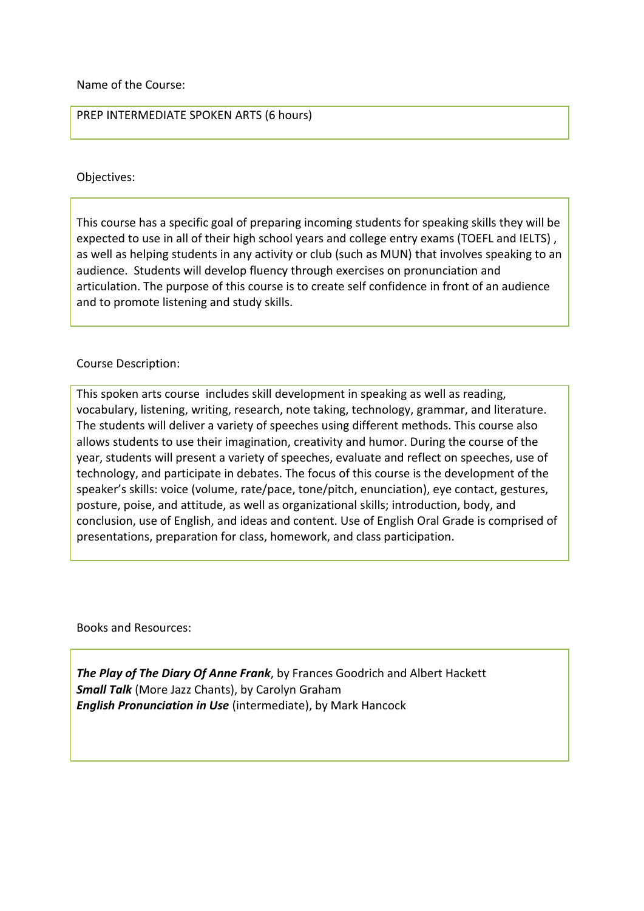Name of the Course:

PREP INTERMEDIATE SPOKEN ARTS (6 hours)

## Objectives:

This course has a specific goal of preparing incoming students for speaking skills they will be expected to use in all of their high school years and college entry exams (TOEFL and IELTS) , as well as helping students in any activity or club (such as MUN) that involves speaking to an audience. Students will develop fluency through exercises on pronunciation and articulation. The purpose of this course is to create self confidence in front of an audience and to promote listening and study skills.

## Course Description:

This spoken arts course includes skill development in speaking as well as reading, vocabulary, listening, writing, research, note taking, technology, grammar, and literature. The students will deliver a variety of speeches using different methods. This course also allows students to use their imagination, creativity and humor. During the course of the year, students will present a variety of speeches, evaluate and reflect on speeches, use of technology, and participate in debates. The focus of this course is the development of the speaker's skills: voice (volume, rate/pace, tone/pitch, enunciation), eye contact, gestures, posture, poise, and attitude, as well as organizational skills; introduction, body, and conclusion, use of English, and ideas and content. Use of English Oral Grade is comprised of presentations, preparation for class, homework, and class participation.

Books and Resources:

*The Play of The Diary Of Anne Frank*, by Frances Goodrich and Albert Hackett *Small Talk* (More Jazz Chants), by Carolyn Graham *English Pronunciation in Use* (intermediate), by Mark Hancock